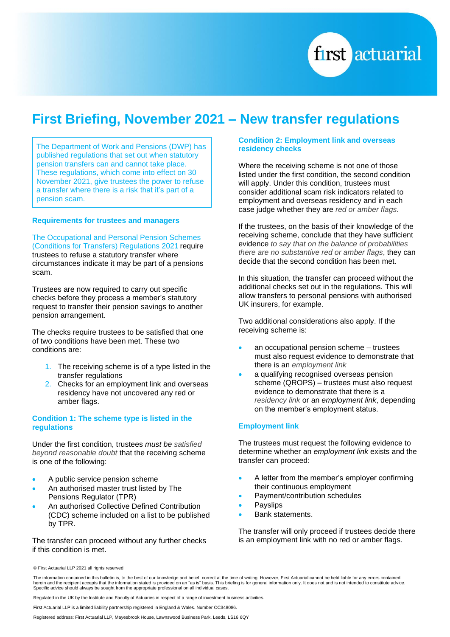

# **First Briefing, November 2021 – New transfer regulations**

The Department of Work and Pensions (DWP) has published regulations that set out when statutory pension transfers can and cannot take place. These regulations, which come into effect on 30 November 2021, give trustees the power to refuse a transfer where there is a risk that it's part of a pension scam.

### **Requirements for trustees and managers**

[The Occupational and Personal Pension Schemes](https://www.legislation.gov.uk/uksi/2021/1237/made/data.pdf)  [\(Conditions for Transfers\) Regulations 2021](https://www.legislation.gov.uk/uksi/2021/1237/made/data.pdf) require trustees to refuse a statutory transfer where circumstances indicate it may be part of a pensions scam.

Trustees are now required to carry out specific checks before they process a member's statutory request to transfer their pension savings to another pension arrangement.

The checks require trustees to be satisfied that one of two conditions have been met. These two conditions are:

- 1. The receiving scheme is of a type listed in the transfer regulations
- 2. Checks for an employment link and overseas residency have not uncovered any red or amber flags.

## **Condition 1: The scheme type is listed in the regulations**

Under the first condition, trustees *must be satisfied beyond reasonable doubt* that the receiving scheme is one of the following:

- A public service pension scheme
- An authorised master trust listed by The Pensions Regulator (TPR)
- An authorised Collective Defined Contribution (CDC) scheme included on a list to be published by TPR.

The transfer can proceed without any further checks if this condition is met.

## **Condition 2: Employment link and overseas residency checks**

Where the receiving scheme is not one of those listed under the first condition, the second condition will apply. Under this condition, trustees must consider additional scam risk indicators related to employment and overseas residency and in each case judge whether they are *red or amber flags*.

If the trustees, on the basis of their knowledge of the receiving scheme, conclude that they have sufficient evidence *to say that on the balance of probabilities there are no substantive red or amber flags*, they can decide that the second condition has been met.

In this situation, the transfer can proceed without the additional checks set out in the regulations. This will allow transfers to personal pensions with authorised UK insurers, for example.

Two additional considerations also apply. If the receiving scheme is:

- an occupational pension scheme trustees must also request evidence to demonstrate that there is an *employment link*
- a qualifying recognised overseas pension scheme (QROPS) – trustees must also request evidence to demonstrate that there is a *residency link* or an *employment link*, depending on the member's employment status.

### **Employment link**

The trustees must request the following evidence to determine whether an *employment link* exists and the transfer can proceed:

- A letter from the member's employer confirming their continuous employment
- Payment/contribution schedules
- **Payslips**
- Bank statements.

The transfer will only proceed if trustees decide there is an employment link with no red or amber flags.

Regulated in the UK by the Institute and Faculty of Actuaries in respect of a range of investment business activities.

First Actuarial LLP is a limited liability partnership registered in England & Wales. Number OC348086.

Registered address: First Actuarial LLP, Mayesbrook House, Lawnswood Business Park, Leeds, LS16 6QY

<sup>©</sup> First Actuarial LLP 2021 all rights reserved.

The information contained in this bulletin is, to the best of our knowledge and belief, correct at the time of writing. However, First Actuarial cannot be held liable for any errors contained herein and the recipient accepts that the information stated is provided on an "as is" basis. This briefing is for general information only. It does not and is not intended to constitute advice.<br>Specific advice should alwa